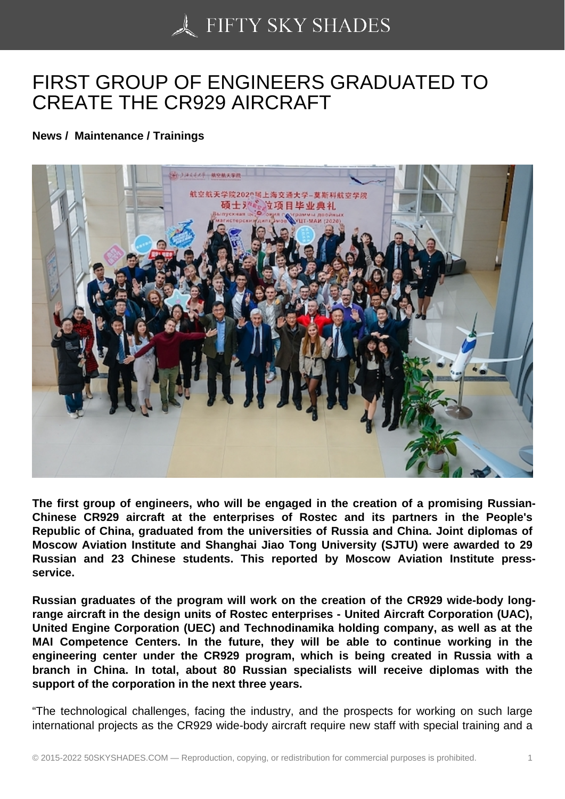## [FIRST GROUP OF EN](https://50skyshades.com)GINEERS GRADUATED TO CREATE THE CR929 AIRCRAFT

News / Maintenance / Trainings

The first group of engineers, who will be engaged in the creation of a promising Russian-Chinese CR929 aircraft at the enterprises of Rostec and its partners in the People's Republic of China, graduated from the universities of Russia and China. Joint diplomas of Moscow Aviation Institute and Shanghai Jiao Tong University (SJTU) were awarded to 29 Russian and 23 Chinese students. This reported by Moscow Aviation Institute pressservice.

Russian graduates of the program will work on the creation of the CR929 wide-body longrange aircraft in the design units of Rostec enterprises - United Aircraft Corporation (UAC), United Engine Corporation (UEC) and Technodinamika holding company, as well as at the MAI Competence Centers. In the future, they will be able to continue working in the engineering center under the CR929 program, which is being created in Russia with a branch in China. In total, about 80 Russian specialists will receive diplomas with the support of the corporation in the next three years.

"The technological challenges, facing the industry, and the prospects for working on such large international projects as the CR929 wide-body aircraft require new staff with special training and a